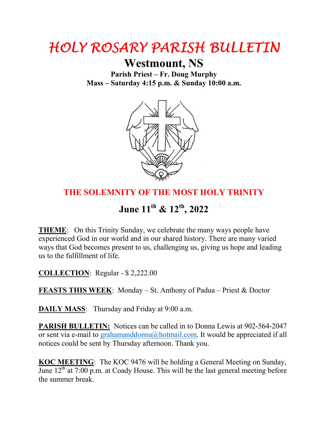## HOLY ROSARY PARISH BULLETIN

## **Westmount, NS**

**Parish Priest – Fr. Doug Murphy Mass – Saturday 4:15 p.m. & Sunday 10:00 a.m.** 



## **THE SOLEMNITY OF THE MOST HOLY TRINITY**

**June 11th & 12th, 2022**

**THEME**: On this Trinity Sunday, we celebrate the many ways people have experienced God in our world and in our shared history. There are many varied ways that God becomes present to us, challenging us, giving us hope and leading us to the fulfillment of life.

**COLLECTION**: Regular - \$ 2,222.00

**FEASTS THIS WEEK**: Monday – St. Anthony of Padua – Priest & Doctor

**DAILY MASS:** Thursday and Friday at 9:00 a.m.

**PARISH BULLETIN:** Notices can be called in to Donna Lewis at 902-564-2047 or sent via e-mail to grahamanddonna@hotmail.com. It would be appreciated if all notices could be sent by Thursday afternoon. Thank you.

**KOC MEETING**: The KOC 9476 will be holding a General Meeting on Sunday, June  $12<sup>th</sup>$  at 7:00 p.m. at Coady House. This will be the last general meeting before the summer break.